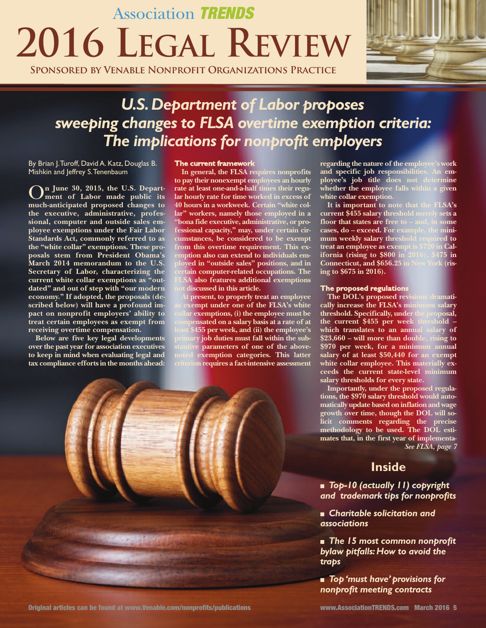# Association TRENDS **2016 LEGAL REVIEW**

**Sponsored by Venable Nonprofit Organizations Practice**



### *U.S.Department of Labor proposes sweeping changes to FLSA overtime exemption criteria: The implications for nonprofit employers*

By Brian J.Turoff, David A. Katz, Douglas B. Mishkin and Jeffrey S.Tenenbaum

O**<sup>n</sup> June 30, 2015, the U.S. Depart-ment of Labor made public its much-anticipated proposed changes to the executive, administrative, professional, computer and outside sales employee exemptions under the Fair Labor Standards Act, commonly referred to as the "white collar" exemptions. These proposals stem from President Obama's March 2014 memorandum to the U.S. Secretary of Labor, characterizing the current white collar exemptions as "outdated" and out of step with "our modern economy." If adopted, the proposals (described below) will have a profound impact on nonprofit employers' ability to treat certain employees as exempt from receiving overtime compensation.**

**Below are five key legal developments over the past year for association executives to keep in mind when evaluating legal and tax compliance efforts in the months ahead:**

#### **The current framework**

**In general, the FLSA requires nonprofits to pay their nonexempt employees an hourly rate at least one-and-a-half times their regular hourly rate for time worked in excess of 40 hours in a workweek. Certain "white collar" workers, namely those employed in a "bona fide executive, administrative, or professional capacity," may, under certain circumstances, be considered to be exempt from this overtime requirement. This exemption also can extend to individuals employed in "outside sales" positions, and in certain computer-related occupations. The FLSA also features additional exemptions not discussed in this article.**

**At present, to properly treat an employee as exempt under one of the FLSA's white exemptions, (i) the employee must be compensated on a salary basis at a rate of at least \$455 per week, and (ii) the employee's primary job duties must fall within the substantive parameters of one of the abovenoted exemption categories. This latter criterion requires a fact-intensive assessment**



Original articles can be found at www.Venable.com/nonprofits/publications www.AssociationTRENDS.com March 2016 5

**regarding the nature of the employee's work and specific job responsibilities. An employee's job title does not determine whether the employee falls within a given white collar exemption.**

**It is important to note that the FLSA's current \$455 salary threshold merely sets a floor that states are free to – and, in some cases, do – exceed. For example, the minimum weekly salary threshold required to treat an employee as exempt is \$720 in California (rising to \$800 in 2016), \$475 in Connecticut, and \$656.25 in New York (rising to \$675 in 2016).**

#### **The proposed regulations**

**The DOL's proposed revisions dramatically increase the FLSA's minimum salary threshold. Specifically, under the proposal, the current \$455 per week threshold – which translates to an annual salary of \$23,660 – will more than double, rising to \$970 per week, for a minimum annual salary of at least \$50,440 for an exempt white collar employee. This materially exceeds the current state-level minimum salary thresholds for every state.**

**Importantly, under the proposed regulations, the \$970 salary threshold would automatically update based on inflation and wage growth over time, though the DOL will solicit comments regarding the precise methodology to be used. The DOL estimates that, in the first year of implementa-***See FLSA, page 7*

### **Inside**

<sup>n</sup> *Top-10 (actually 11) copyright and trademark tips for nonprofits*

<sup>n</sup> *Charitable solicitation and associations*

<sup>n</sup> *The 15 most common nonprofit bylaw pitfalls:How to avoid the traps*

■ *Top 'must have' provisions for nonprofit meeting contracts*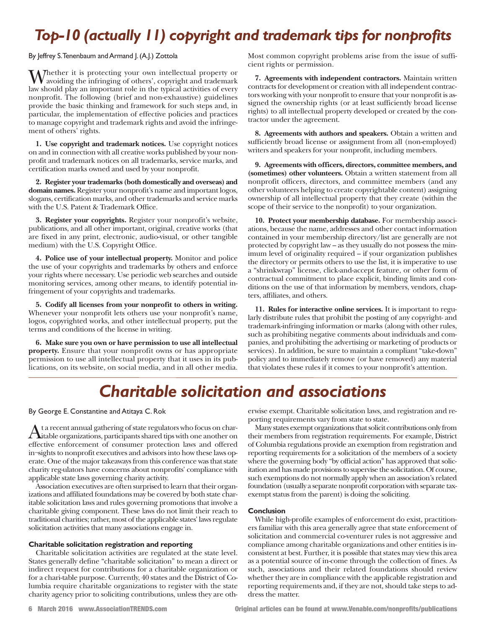# *Top-10 (actually 11) copyright and trademark tips for nonprofits*

By Jeffrey S.Tenenbaum and Armand J. (A.J.) Zottola

Whether it is protecting your own intellectual property or V avoiding the infringing of others', copyright and trademark law should play an important role in the typical activities of every nonprofit. The following (brief and non-exhaustive) guidelines provide the basic thinking and framework for such steps and, in particular, the implementation of effective policies and practices to manage copyright and trademark rights and avoid the infringement of others' rights.

**1. Use copyright and trademark notices.** Use copyright notices on and in connection with all creative works published by your nonprofit and trademark notices on all trademarks, service marks, and certification marks owned and used by your nonprofit.

**2. Register your trademarks (both domestically and overseas) and domain names.** Register your nonprofit's name and important logos, slogans, certification marks, and other trademarks and service marks with the U.S. Patent & Trademark Office.

**3. Register your copyrights.** Register your nonprofit's website, publications, and all other important, original, creative works (that are fixed in any print, electronic, audio-visual, or other tangible medium) with the U.S. Copyright Office.

**4. Police use of your intellectual property.** Monitor and police the use of your copyrights and trademarks by others and enforce your rights where necessary. Use periodic web searches and outside monitoring services, among other means, to identify potential infringement of your copyrights and trademarks.

**5. Codify all licenses from your nonprofit to others in writing.** Whenever your nonprofit lets others use your nonprofit's name, logos, copyrighted works, and other intellectual property, put the terms and conditions of the license in writing.

**6. Make sure you own or have permission to use all intellectual property.** Ensure that your nonprofit owns or has appropriate permission to use all intellectual property that it uses in its publications, on its website, on social media, and in all other media. Most common copyright problems arise from the issue of sufficient rights or permission.

**7. Agreements with independent contractors.** Maintain written contracts for development or creation with all independent contractors working with your nonprofit to ensure that your nonprofit is assigned the ownership rights (or at least sufficiently broad license rights) to all intellectual property developed or created by the contractor under the agreement.

**8. Agreements with authors and speakers.** Obtain a written and sufficiently broad license or assignment from all (non-employed) writers and speakers for your nonprofit, including members.

**9. Agreements with officers, directors, committee members, and (sometimes) other volunteers.** Obtain a written statement from all nonprofit officers, directors, and committee members (and any other volunteers helping to create copyrightable content) assigning ownership of all intellectual property that they create (within the scope of their service to the nonprofit) to your organization.

**10. Protect your membership database.** For membership associations, because the name, addresses and other contact information contained in your membership directory/list are generally are not protected by copyright law – as they usually do not possess the minimum level of originality required – if your organization publishes the directory or permits others to use the list, it is imperative to use a "shrinkwrap" license, click-and-accept feature, or other form of contractual commitment to place explicit, binding limits and conditions on the use of that information by members, vendors, chapters, affiliates, and others.

**11. Rules for interactive online services.** It is important to regularly distribute rules that prohibit the posting of any copyright- and trademark-infringing information or marks (along with other rules, such as prohibiting negative comments about individuals and companies, and prohibiting the advertising or marketing of products or services). In addition, be sure to maintain a compliant "take-down" policy and to immediately remove (or have removed) any material that violates these rules if it comes to your nonprofit's attention.

## *Charitable solicitation and associations*

#### By George E. Constantine and Atitaya C. Rok

At a recent annual gathering of state regulators who focus on char-<br>itable organizations, participants shared tips with one another one<br>of setting and affective continuations and affected effective enforcement of consumer protection laws and offered in-sights to nonprofit executives and advisors into how these laws operate. One of the major takeaways from this conference was that state charity reg-ulators have concerns about nonprofits' compliance with applicable state laws governing charity activity.

Association executives are often surprised to learn that their organizations and affiliated foundations may be covered by both state charitable solicitation laws and rules governing promotions that involve a charitable giving component. These laws do not limit their reach to traditional charities; rather, most of the applicable states' laws regulate solicitation activities that many associations engage in.

#### **Charitable solicitation registration and reporting**

Charitable solicitation activities are regulated at the state level. States generally define "charitable solicitation" to mean a direct or indirect request for contributions for a charitable organization or for a chari-table purpose. Currently, 40 states and the District of Columbia require charitable organizations to register with the state charity agency prior to soliciting contributions, unless they are otherwise exempt. Charitable solicitation laws, and registration and reporting requirements vary from state to state.

Many states exempt organizations that solicit contributions only from their members from registration requirements. For example, District of Columbia regulations provide an exemption from registration and reporting requirements for a solicitation of the members of a society where the governing body "by official action" has approved that solicitation and has made provisions to supervise the solicitation. Of course, such exemptions do not normally apply when an association's related foundation (usually a separate nonprofit corporation with separate taxexempt status from the parent) is doing the soliciting.

#### **Conclusion**

While high-profile examples of enforcement do exist, practitioners familiar with this area generally agree that state enforcement of solicitation and commercial co-venturer rules is not aggressive and compliance among charitable organizations and other entities is inconsistent at best. Further, it is possible that states may view this area as a potential source of in-come through the collection of fines. As such, associations and their related foundations should review whether they are in compliance with the applicable registration and reporting requirements and, if they are not, should take steps to address the matter.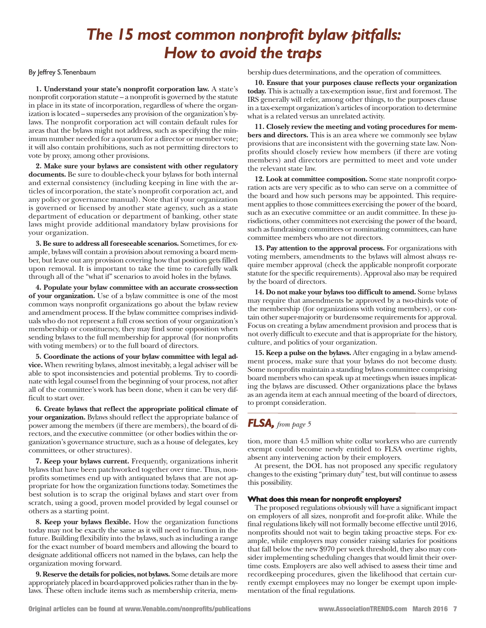### *The 15 most common nonprofit bylaw pitfalls: How to avoid the traps*

#### By Jeffrey S.Tenenbaum

**1. Understand your state's nonprofit corporation law.** A state's nonprofit corporation statute – a nonprofit is governed by the statute in place in its state of incorporation, regardless of where the organization islocated – supersedes any provision of the organization's bylaws. The nonprofit corporation act will contain default rules for areas that the bylaws might not address, such as specifying the minimum number needed for a quorum for a director or member vote; it will also contain prohibitions, such as not permitting directors to vote by proxy, among other provisions.

**2. Make sure your bylaws are consistent with other regulatory documents.** Be sure to double-check your bylaws for both internal and external consistency (including keeping in line with the articles of incorporation, the state's nonprofit corporation act, and any policy or governance manual). Note that if your organization is governed or licensed by another state agency, such as a state department of education or department of banking, other state laws might provide additional mandatory bylaw provisions for your organization.

**3. Be sure to address all foreseeable scenarios.** Sometimes, for example, bylaws will contain a provision about removing a board member, but leave out any provision covering how that position gets filled upon removal. It is important to take the time to carefully walk through all of the "what if" scenarios to avoid holes in the bylaws.

**4. Populate your bylaw committee with an accurate cross-section of your organization.** Use of a bylaw committee is one of the most common ways nonprofit organizations go about the bylaw review and amendment process. If the bylaw committee comprises individuals who do not represent a full cross section of your organization's membership or constituency, they may find some opposition when sending bylaws to the full membership for approval (for nonprofits with voting members) or to the full board of directors.

**5. Coordinate the actions of your bylaw committee with legal advice.** When rewriting bylaws, almost inevitably, a legal adviser will be able to spot inconsistencies and potential problems. Try to coordinate with legal counsel from the beginning of your process, not after all of the committee's work has been done, when it can be very difficult to start over.

**6. Create bylaws that reflect the appropriate political climate of your organization.** Bylaws should reflect the appropriate balance of power among the members (if there are members), the board of directors, and the executive committee (or other bodies within the organization's governance structure, such as a house of delegates, key committees, or other structures).

**7. Keep your bylaws current.** Frequently, organizations inherit bylaws that have been patchworked together over time. Thus, nonprofits sometimes end up with antiquated bylaws that are not appropriate for how the organization functions today. Sometimes the best solution is to scrap the original bylaws and start over from scratch, using a good, proven model provided by legal counsel or others as a starting point.

**8. Keep your bylaws flexible.** How the organization functions today may not be exactly the same as it will need to function in the future. Building flexibility into the bylaws, such as including a range for the exact number of board members and allowing the board to designate additional officers not named in the bylaws, can help the organization moving forward.

**9. Reserve the details for policies, not bylaws.** Some details are more appropriately placed in board-approved policies rather than in the bylaws. These often include items such as membership criteria, membership dues determinations, and the operation of committees.

**10. Ensure that your purposes clause reflects your organization today.** This is actually a tax-exemption issue, first and foremost. The IRS generally will refer, among other things, to the purposes clause in a tax-exempt organization's articles of incorporation to determine what is a related versus an unrelated activity.

**11. Closely review the meeting and voting procedures for members and directors.** This is an area where we commonly see bylaw provisions that are inconsistent with the governing state law. Nonprofits should closely review how members (if there are voting members) and directors are permitted to meet and vote under the relevant state law.

**12. Look at committee composition.** Some state nonprofit corporation acts are very specific as to who can serve on a committee of the board and how such persons may be appointed. This requirement applies to those committees exercising the power of the board, such as an executive committee or an audit committee. In these jurisdictions, other committees not exercising the power of the board, such asfundraising committees or nominating committees, can have committee members who are not directors.

**13. Pay attention to the approval process.** For organizations with voting members, amendments to the bylaws will almost always require member approval (check the applicable nonprofit corporate statute for the specific requirements). Approval also may be required by the board of directors.

**14. Do not make your bylaws too difficult to amend.** Some bylaws may require that amendments be approved by a two-thirds vote of the membership (for organizations with voting members), or contain other super-majority or burdensome requirements for approval. Focus on creating a bylaw amendment provision and process that is not overly difficult to execute and that is appropriate for the history, culture, and politics of your organization.

**15. Keep a pulse on the bylaws.** After engaging in a bylaw amendment process, make sure that your bylaws do not become dusty. Some nonprofits maintain a standing bylaws committee comprising board members who can speak up at meetings when issues implicating the bylaws are discussed. Other organizations place the bylaws as an agenda item at each annual meeting of the board of directors, to prompt consideration.

### *FLSA, from page <sup>5</sup>*

tion, more than 4.5 million white collar workers who are currently exempt could become newly entitled to FLSA overtime rights, absent any intervening action by their employers.

At present, the DOL has not proposed any specific regulatory changesto the existing "primary duty" test, but will continue to assess this possibility.

#### **What does this mean for nonprofit employers?**

The proposed regulations obviously will have a significant impact on employers of all sizes, nonprofit and for-profit alike. While the final regulations likely will not formally become effective until 2016, nonprofits should not wait to begin taking proactive steps. For example, while employers may consider raising salaries for positions that fall below the new \$970 per week threshold, they also may consider implementing scheduling changes that would limit their overtime costs. Employers are also well advised to assess their time and recordkeeping procedures, given the likelihood that certain currently exempt employees may no longer be exempt upon implementation of the final regulations.